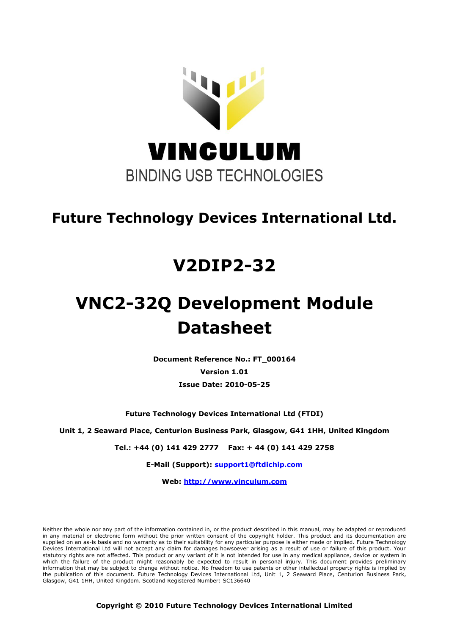

# **Future Technology Devices International Ltd.**

# **V2DIP2-32**

# **VNC2-32Q Development Module Datasheet**

**Document Reference No.: FT\_000164 Version 1.01 Issue Date: 2010-05-25**

**Future Technology Devices International Ltd (FTDI)**

**Unit 1, 2 Seaward Place, Centurion Business Park, Glasgow, G41 1HH, United Kingdom**

**Tel.: +44 (0) 141 429 2777 Fax: + 44 (0) 141 429 2758**

**E-Mail (Support): support1@ftdichip.com** 

**Web: http://www.vinculum.com**

Neither the whole nor any part of the information contained in, or the product described in this manual, may be adapted or reproduced in any material or electronic form without the prior written consent of the copyright holder. This product and its documentation are supplied on an as-is basis and no warranty as to their suitability for any particular purpose is either made or implied. Future Technology Devices International Ltd will not accept any claim for damages howsoever arising as a result of use or failure of this product. Your statutory rights are not affected. This product or any variant of it is not intended for use in any medical appliance, device or system in which the failure of the product might reasonably be expected to result in personal injury. This document provides preliminary information that may be subject to change without notice. No freedom to use patents or other intellectual property rights is implied by the publication of this document. Future Technology Devices International Ltd, Unit 1, 2 Seaward Place, Centurion Business Park, Glasgow, G41 1HH, United Kingdom. Scotland Registered Number: SC136640

**Copyright © 2010 Future Technology Devices International Limited**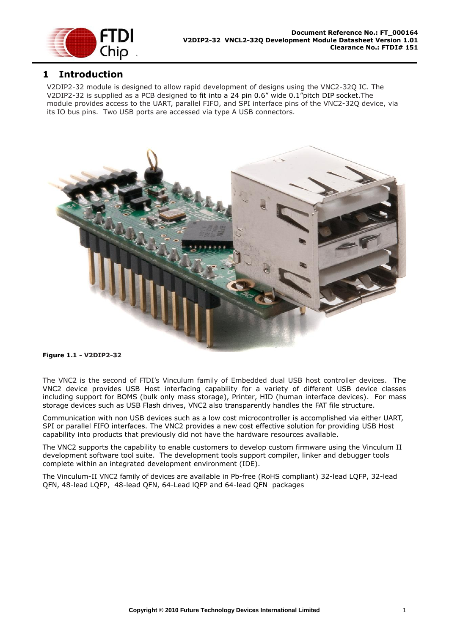

#### <span id="page-1-0"></span>**1 Introduction**

V2DIP2-32 module is designed to allow rapid development of designs using the VNC2-32Q IC. The V2DIP2-32 is supplied as a PCB designed to fit into a 24 pin 0.6" wide 0.1"pitch DIP socket.The module provides access to the UART, parallel FIFO, and SPI interface pins of the VNC2-32Q device, via its IO bus pins. Two USB ports are accessed via type A USB connectors.



#### <span id="page-1-1"></span>**Figure 1.1 - V2DIP2-32**

The VNC2 is the second of FTDI's Vinculum family of Embedded dual USB host controller devices. The VNC2 device provides USB Host interfacing capability for a variety of different USB device classes including support for BOMS (bulk only mass storage), Printer, HID (human interface devices). For mass storage devices such as USB Flash drives, VNC2 also transparently handles the FAT file structure.

Communication with non USB devices such as a low cost microcontroller is accomplished via either UART, SPI or parallel FIFO interfaces. The VNC2 provides a new cost effective solution for providing USB Host capability into products that previously did not have the hardware resources available.

The VNC2 supports the capability to enable customers to develop custom firmware using the Vinculum II development software tool suite. The development tools support compiler, linker and debugger tools complete within an integrated development environment (IDE).

The Vinculum-II VNC2 family of devices are available in Pb-free (RoHS compliant) 32-lead LQFP, 32-lead QFN, 48-lead LQFP, 48-lead QFN, 64-Lead lQFP and 64-lead QFN packages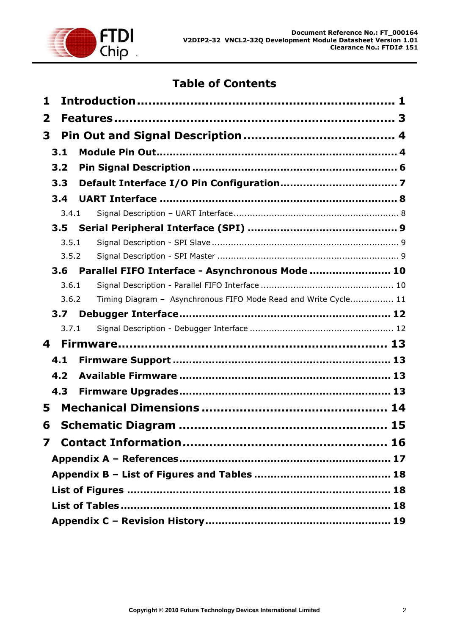

# **Table of Contents**

| 1            |                  |                                                                 |  |
|--------------|------------------|-----------------------------------------------------------------|--|
| $\mathbf{2}$ |                  |                                                                 |  |
| 3            |                  |                                                                 |  |
|              | 3.1              |                                                                 |  |
|              | 3.2              |                                                                 |  |
|              |                  |                                                                 |  |
|              | 3.3              |                                                                 |  |
|              | 3.4              |                                                                 |  |
|              | 3.4.1            |                                                                 |  |
|              | 3.5              |                                                                 |  |
|              | 3.5.1            |                                                                 |  |
|              | 3.5.2            |                                                                 |  |
|              | 3.6              | Parallel FIFO Interface - Asynchronous Mode  10                 |  |
|              | 3.6.1            |                                                                 |  |
|              | 3.6.2            | Timing Diagram - Asynchronous FIFO Mode Read and Write Cycle 11 |  |
|              | 3.7 <sub>2</sub> |                                                                 |  |
|              | 3.7.1            |                                                                 |  |
| 4            |                  |                                                                 |  |
|              | 4.1              |                                                                 |  |
|              | 4.2              |                                                                 |  |
|              | 4.3              |                                                                 |  |
| 5            |                  |                                                                 |  |
|              |                  | 15                                                              |  |
| 6            |                  |                                                                 |  |
| 7            |                  |                                                                 |  |
|              |                  |                                                                 |  |
|              |                  |                                                                 |  |
|              |                  |                                                                 |  |
|              |                  |                                                                 |  |
|              |                  |                                                                 |  |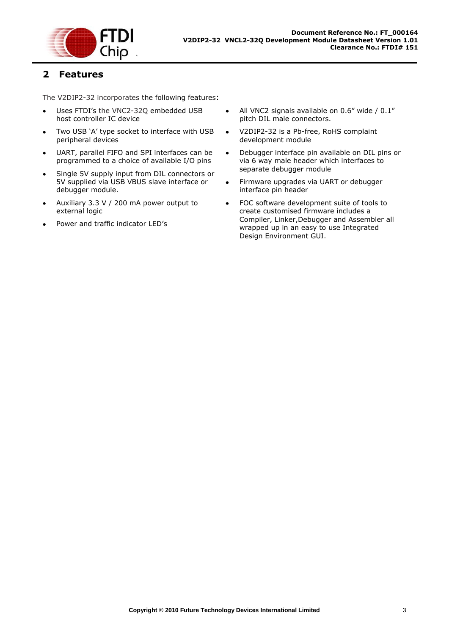

#### <span id="page-3-0"></span>**2 Features**

The V2DIP2-32 incorporates the following features:

- Uses FTDI's the VNC2-32Q embedded USB host controller IC device
- Two USB 'A' type socket to interface with USB peripheral devices
- UART, parallel FIFO and SPI interfaces can be  $\bullet$ programmed to a choice of available I/O pins
- Single 5V supply input from DIL connectors or 5V supplied via USB VBUS slave interface or debugger module.
- Auxiliary 3.3 V / 200 mA power output to external logic
- Power and traffic indicator LED's
- $\bullet$ All VNC2 signals available on 0.6" wide / 0.1" pitch DIL male connectors.
- V2DIP2-32 is a Pb-free, RoHS complaint  $\bullet$ development module
- Debugger interface pin available on DIL pins or  $\bullet$ via 6 way male header which interfaces to separate debugger module
- Firmware upgrades via UART or debugger  $\bullet$ interface pin header
- FOC software development suite of tools to  $\bullet$ create customised firmware includes a Compiler, Linker,Debugger and Assembler all wrapped up in an easy to use Integrated Design Environment GUI.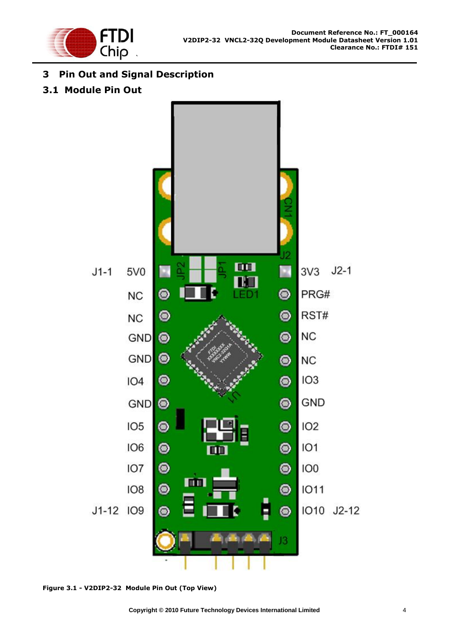

## <span id="page-4-0"></span>**3 Pin Out and Signal Description**

#### <span id="page-4-1"></span>**3.1 Module Pin Out**



<span id="page-4-2"></span>**Figure 3.1 - V2DIP2-32 Module Pin Out (Top View)**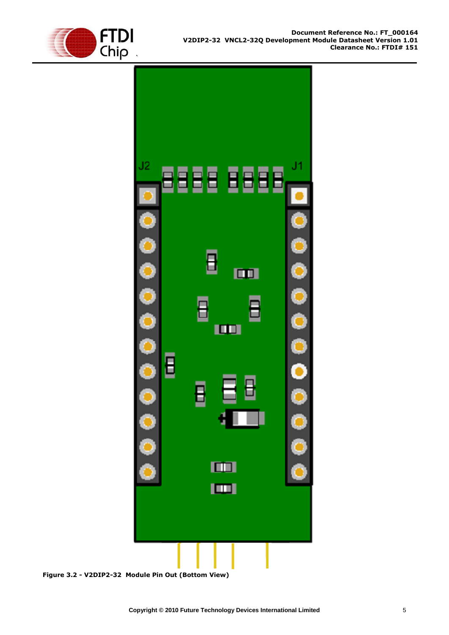



<span id="page-5-0"></span>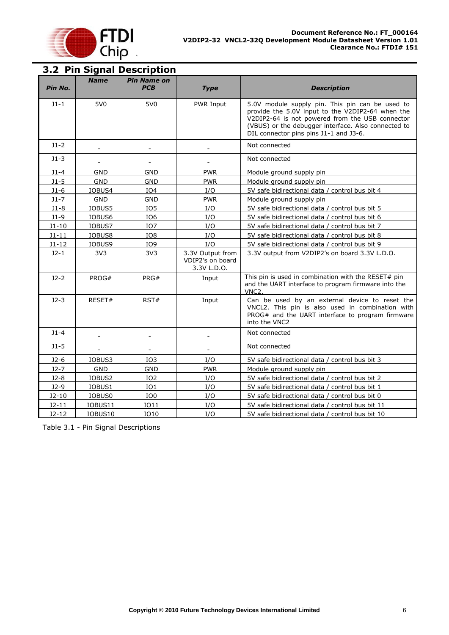

<span id="page-6-0"></span>

| Pin No.   | <b>Name</b>     | <b>Pin Name on</b><br><b>PCB</b> | <b>Type</b>                                         | <b>Description</b>                                                                                                                                                                                                                                      |
|-----------|-----------------|----------------------------------|-----------------------------------------------------|---------------------------------------------------------------------------------------------------------------------------------------------------------------------------------------------------------------------------------------------------------|
| $J1 - 1$  | 5V <sub>0</sub> | 5V <sub>0</sub>                  | PWR Input                                           | 5.0V module supply pin. This pin can be used to<br>provide the 5.0V input to the V2DIP2-64 when the<br>V2DIP2-64 is not powered from the USB connector<br>(VBUS) or the debugger interface. Also connected to<br>DIL connector pins pins J1-1 and J3-6. |
| $J1 - 2$  |                 |                                  |                                                     | Not connected                                                                                                                                                                                                                                           |
| $J1-3$    |                 |                                  |                                                     | Not connected                                                                                                                                                                                                                                           |
| $J1-4$    | <b>GND</b>      | <b>GND</b>                       | <b>PWR</b>                                          | Module ground supply pin                                                                                                                                                                                                                                |
| $J1-5$    | <b>GND</b>      | <b>GND</b>                       | <b>PWR</b>                                          | Module ground supply pin                                                                                                                                                                                                                                |
| $J1-6$    | IOBUS4          | IO <sub>4</sub>                  | I/O                                                 | 5V safe bidirectional data / control bus bit 4                                                                                                                                                                                                          |
| $J1 - 7$  | <b>GND</b>      | <b>GND</b>                       | <b>PWR</b>                                          | Module ground supply pin                                                                                                                                                                                                                                |
| $J1-8$    | IOBUS5          | IO <sub>5</sub>                  | I/O                                                 | 5V safe bidirectional data / control bus bit 5                                                                                                                                                                                                          |
| $J1-9$    | IOBUS6          | IO <sub>6</sub>                  | I/O                                                 | 5V safe bidirectional data / control bus bit 6                                                                                                                                                                                                          |
| $J1 - 10$ | IOBUS7          | IO <sub>7</sub>                  | I/O                                                 | 5V safe bidirectional data / control bus bit 7                                                                                                                                                                                                          |
| $J1 - 11$ | IOBUS8          | IO8                              | I/O                                                 | 5V safe bidirectional data / control bus bit 8                                                                                                                                                                                                          |
| $J1 - 12$ | IOBUS9          | IO9                              | I/O                                                 | 5V safe bidirectional data / control bus bit 9                                                                                                                                                                                                          |
| $J2-1$    | 3V <sub>3</sub> | 3V3                              | 3.3V Output from<br>VDIP2's on board<br>3.3V L.D.O. | 3.3V output from V2DIP2's on board 3.3V L.D.O.                                                                                                                                                                                                          |
| $J2-2$    | PROG#           | PRG#                             | Input                                               | This pin is used in combination with the RESET# pin<br>and the UART interface to program firmware into the<br>VNC <sub>2</sub> .                                                                                                                        |
| $J2-3$    | RESET#          | RST#                             | Input                                               | Can be used by an external device to reset the<br>VNCL2. This pin is also used in combination with<br>PROG# and the UART interface to program firmware<br>into the VNC2                                                                                 |
| $J1 - 4$  |                 | $\overline{\phantom{a}}$         | $\overline{a}$                                      | Not connected                                                                                                                                                                                                                                           |
| $J1-5$    |                 |                                  | $\overline{a}$                                      | Not connected                                                                                                                                                                                                                                           |
| $J2-6$    | IOBUS3          | IO <sub>3</sub>                  | I/O                                                 | 5V safe bidirectional data / control bus bit 3                                                                                                                                                                                                          |
| $J2-7$    | <b>GND</b>      | <b>GND</b>                       | <b>PWR</b>                                          | Module ground supply pin                                                                                                                                                                                                                                |
| $J2-8$    | IOBUS2          | IO <sub>2</sub>                  | I/O                                                 | 5V safe bidirectional data / control bus bit 2                                                                                                                                                                                                          |
| $J2-9$    | IOBUS1          | IO1                              | I/O                                                 | 5V safe bidirectional data / control bus bit 1                                                                                                                                                                                                          |
| $J2-10$   | IOBUS0          | IO0                              | I/O                                                 | 5V safe bidirectional data / control bus bit 0                                                                                                                                                                                                          |
| $J2 - 11$ | IOBUS11         | <b>IO11</b>                      | I/O                                                 | 5V safe bidirectional data / control bus bit 11                                                                                                                                                                                                         |
| $J2 - 12$ | IOBUS10         | <b>IO10</b>                      | I/O                                                 | 5V safe bidirectional data / control bus bit 10                                                                                                                                                                                                         |

<span id="page-6-1"></span>Table 3.1 - Pin Signal Descriptions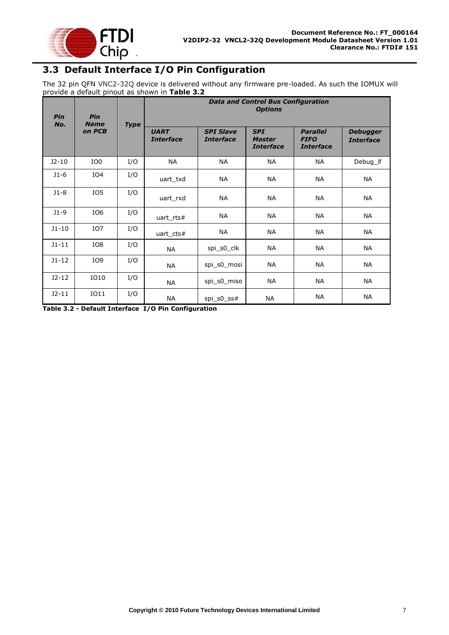

## <span id="page-7-0"></span>**3.3 Default Interface I/O Pin Configuration**

The 32 pin QFN VNC2-32Q device is delivered without any firmware pre-loaded. As such the IOMUX will provide a default pinout as shown in **[Table 3.2](#page-7-1)**

| Pin<br>No. | Pin<br><b>Name</b> | <b>Type</b> | <b>Data and Control Bus Configuration</b><br><b>Options</b> |                                      |                                                 |                                                    |                                     |  |
|------------|--------------------|-------------|-------------------------------------------------------------|--------------------------------------|-------------------------------------------------|----------------------------------------------------|-------------------------------------|--|
|            | on PCB             |             | <b>UART</b><br><b>Interface</b>                             | <b>SPI Slave</b><br><b>Interface</b> | <b>SPI</b><br><b>Master</b><br><b>Interface</b> | <b>Parallel</b><br><b>FIFO</b><br><b>Interface</b> | <b>Debugger</b><br><b>Interface</b> |  |
| $J2-10$    | IO <sub>0</sub>    | I/O         | <b>NA</b>                                                   | <b>NA</b>                            | <b>NA</b>                                       | <b>NA</b>                                          | Debug if                            |  |
| $J1-6$     | IO <sub>4</sub>    | I/O         | uart txd                                                    | <b>NA</b>                            | <b>NA</b>                                       | <b>NA</b>                                          | <b>NA</b>                           |  |
| $J1-8$     | IO <sub>5</sub>    | I/O         | uart rxd                                                    | <b>NA</b>                            | <b>NA</b>                                       | <b>NA</b>                                          | <b>NA</b>                           |  |
| $J1-9$     | IO <sub>6</sub>    | I/O         | uart rts#                                                   | <b>NA</b>                            | <b>NA</b>                                       | <b>NA</b>                                          | <b>NA</b>                           |  |
| $J1 - 10$  | IO <sub>7</sub>    | I/O         | uart cts#                                                   | <b>NA</b>                            | <b>NA</b>                                       | <b>NA</b>                                          | <b>NA</b>                           |  |
| $J1 - 11$  | IO8                | I/O         | <b>NA</b>                                                   | spi s0 clk                           | <b>NA</b>                                       | <b>NA</b>                                          | <b>NA</b>                           |  |
| $J1 - 12$  | IO <sub>9</sub>    | I/O         | <b>NA</b>                                                   | spi s0 mosi                          | ΝA                                              | <b>NA</b>                                          | NA                                  |  |
| $J2-12$    | IO10               | I/O         | <b>NA</b>                                                   | spi s0 miso                          | <b>NA</b>                                       | <b>NA</b>                                          | NA                                  |  |
| $J2-11$    | IO11               | I/O         | <b>NA</b>                                                   | spi s0 ss#                           | <b>NA</b>                                       | <b>NA</b>                                          | <b>NA</b>                           |  |

<span id="page-7-1"></span>**Table 3.2 - Default Interface I/O Pin Configuration**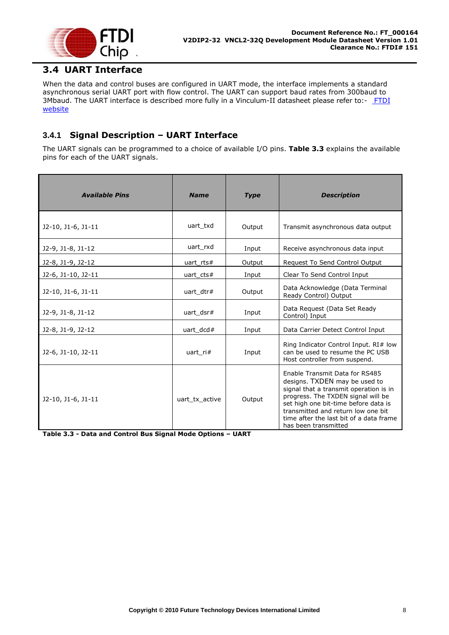

## <span id="page-8-0"></span>**3.4 UART Interface**

When the data and control buses are configured in UART mode, the interface implements a standard asynchronous serial UART port with flow control. The UART can support baud rates from 300baud to 3Mbaud. The UART interface is described more fully in a Vinculum-II datasheet please refer to:- FTDI [website](http://www.ftdichip.com/)

#### <span id="page-8-1"></span>**3.4.1 Signal Description – UART Interface**

The UART signals can be programmed to a choice of available I/O pins. **[Table 3.3](#page-8-2)** explains the available pins for each of the UART signals.

| <b>Available Pins</b> | <b>Name</b>    | <b>Type</b> | <b>Description</b>                                                                                                                                                                                                                                                                               |
|-----------------------|----------------|-------------|--------------------------------------------------------------------------------------------------------------------------------------------------------------------------------------------------------------------------------------------------------------------------------------------------|
| J2-10, J1-6, J1-11    | uart txd       | Output      | Transmit asynchronous data output                                                                                                                                                                                                                                                                |
| J2-9, J1-8, J1-12     | uart rxd       | Input       | Receive asynchronous data input                                                                                                                                                                                                                                                                  |
| J2-8, J1-9, J2-12     | uart $rts#$    | Output      | Request To Send Control Output                                                                                                                                                                                                                                                                   |
| J2-6, J1-10, J2-11    | uart_cts#      | Input       | Clear To Send Control Input                                                                                                                                                                                                                                                                      |
| J2-10, J1-6, J1-11    | uart dtr#      | Output      | Data Acknowledge (Data Terminal<br>Ready Control) Output                                                                                                                                                                                                                                         |
| J2-9, J1-8, J1-12     | uart dsr#      | Input       | Data Request (Data Set Ready<br>Control) Input                                                                                                                                                                                                                                                   |
| J2-8, J1-9, J2-12     | uart $dcd#$    | Input       | Data Carrier Detect Control Input                                                                                                                                                                                                                                                                |
| J2-6, J1-10, J2-11    | uart ri#       | Input       | Ring Indicator Control Input. RI# low<br>can be used to resume the PC USB<br>Host controller from suspend.                                                                                                                                                                                       |
| J2-10, J1-6, J1-11    | uart tx active | Output      | Enable Transmit Data for RS485<br>designs. TXDEN may be used to<br>signal that a transmit operation is in<br>progress. The TXDEN signal will be<br>set high one bit-time before data is<br>transmitted and return low one bit<br>time after the last bit of a data frame<br>has been transmitted |

<span id="page-8-2"></span>**Table 3.3 - Data and Control Bus Signal Mode Options – UART**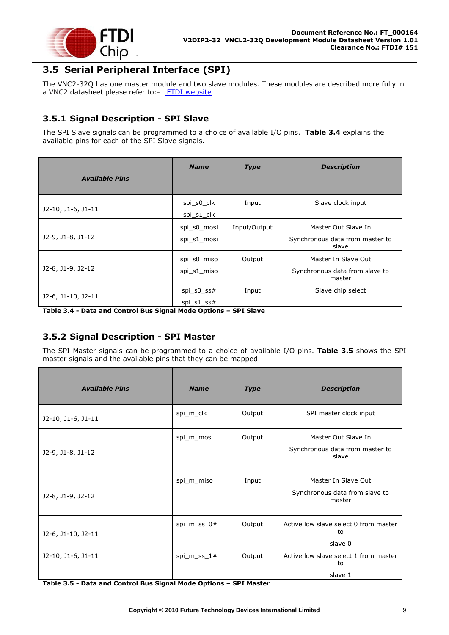

## <span id="page-9-0"></span>**3.5 Serial Peripheral Interface (SPI)**

The VNC2-32Q has one master module and two slave modules. These modules are described more fully in a VNC2 datasheet please refer to:- [FTDI website](http://www.ftdichip.com/)

#### <span id="page-9-1"></span>**3.5.1 Signal Description - SPI Slave**

The SPI Slave signals can be programmed to a choice of available I/O pins. **[Table 3.4](#page-9-3)** explains the available pins for each of the SPI Slave signals.

| <b>Available Pins</b> | <b>Name</b>                | <b>Type</b>  | <b>Description</b>                                              |
|-----------------------|----------------------------|--------------|-----------------------------------------------------------------|
| J2-10, J1-6, J1-11    | spi s0 clk<br>spi s1 clk   | Input        | Slave clock input                                               |
| J2-9, J1-8, J1-12     | spi s0 mosi<br>spi s1 mosi | Input/Output | Master Out Slave In<br>Synchronous data from master to<br>slave |
| J2-8, J1-9, J2-12     | spi s0 miso<br>spi s1 miso | Output       | Master In Slave Out<br>Synchronous data from slave to<br>master |
| J2-6, J1-10, J2-11    | spi s0 $ss#$<br>spi s1 ss# | Input        | Slave chip select                                               |

<span id="page-9-3"></span>**Table 3.4 - Data and Control Bus Signal Mode Options – SPI Slave**

#### <span id="page-9-2"></span>**3.5.2 Signal Description - SPI Master**

The SPI Master signals can be programmed to a choice of available I/O pins. **[Table 3.5](#page-9-4)** shows the SPI master signals and the available pins that they can be mapped.

| <b>Available Pins</b> | <b>Name</b>    | <b>Type</b> | <b>Description</b>                                              |
|-----------------------|----------------|-------------|-----------------------------------------------------------------|
| J2-10, J1-6, J1-11    | spi_m_clk      | Output      | SPI master clock input                                          |
| J2-9, J1-8, J1-12     | spi_m_mosi     | Output      | Master Out Slave In<br>Synchronous data from master to<br>slave |
| J2-8, J1-9, J2-12     | spi_m_miso     | Input       | Master In Slave Out<br>Synchronous data from slave to<br>master |
| J2-6, J1-10, J2-11    | spi_m_ss_0#    | Output      | Active low slave select 0 from master<br>to<br>slave 0          |
| J2-10, J1-6, J1-11    | $spin_m$ ss_1# | Output      | Active low slave select 1 from master<br>to<br>slave 1          |

<span id="page-9-4"></span>**Table 3.5 - Data and Control Bus Signal Mode Options – SPI Master**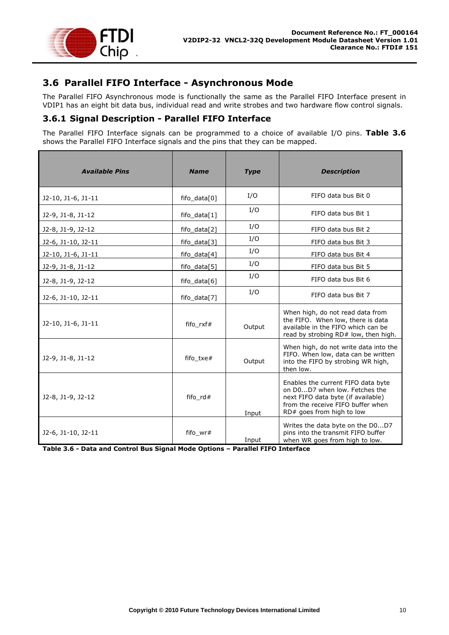

## <span id="page-10-0"></span>**3.6 Parallel FIFO Interface - Asynchronous Mode**

The Parallel FIFO Asynchronous mode is functionally the same as the Parallel FIFO Interface present in VDIP1 has an eight bit data bus, individual read and write strobes and two hardware flow control signals.

#### <span id="page-10-1"></span>**3.6.1 Signal Description - Parallel FIFO Interface**

The Parallel FIFO Interface signals can be programmed to a choice of available I/O pins. **[Table 3.6](#page-10-2)** shows the Parallel FIFO Interface signals and the pins that they can be mapped.

| <b>Available Pins</b> | <b>Name</b>    | <b>Type</b> | <b>Description</b>                                                                                                                                                          |
|-----------------------|----------------|-------------|-----------------------------------------------------------------------------------------------------------------------------------------------------------------------------|
| $J2-10, J1-6, J1-11$  | fifo_data[0]   | I/O         | FIFO data bus Bit 0                                                                                                                                                         |
| $J2-9, J1-8, J1-12$   | fifo $data[1]$ | I/O         | FIFO data bus Bit 1                                                                                                                                                         |
| J2-8, J1-9, J2-12     | fifo_data[2]   | I/O         | FIFO data bus Bit 2                                                                                                                                                         |
| J2-6, J1-10, J2-11    | fifo_data[3]   | I/O         | FIFO data bus Bit 3                                                                                                                                                         |
| J2-10, J1-6, J1-11    | fifo_data[4]   | I/O         | FIFO data bus Bit 4                                                                                                                                                         |
| J2-9, J1-8, J1-12     | fifo $data[5]$ | I/O         | FIFO data bus Bit 5                                                                                                                                                         |
| J2-8, J1-9, J2-12     | fifo_data[6]   | I/O         | FIFO data bus Bit 6                                                                                                                                                         |
| J2-6, J1-10, J2-11    | fifo data[7]   | I/O         | FIFO data bus Bit 7                                                                                                                                                         |
| $J2-10, J1-6, J1-11$  | fifo_rxf#      | Output      | When high, do not read data from<br>the FIFO. When low, there is data<br>available in the FIFO which can be<br>read by strobing RD# low, then high.                         |
| $J2-9, J1-8, J1-12$   | fifo txe#      | Output      | When high, do not write data into the<br>FIFO. When low, data can be written<br>into the FIFO by strobing WR high,<br>then low.                                             |
| J2-8, J1-9, J2-12     | fifo_rd#       | Input       | Enables the current FIFO data byte<br>on D0D7 when low. Fetches the<br>next FIFO data byte (if available)<br>from the receive FIFO buffer when<br>RD# goes from high to low |
| J2-6, J1-10, J2-11    | fifo wr#       | Input       | Writes the data byte on the D0D7<br>pins into the transmit FIFO buffer<br>when WR goes from high to low.                                                                    |

<span id="page-10-2"></span>**Table 3.6 - Data and Control Bus Signal Mode Options – Parallel FIFO Interface**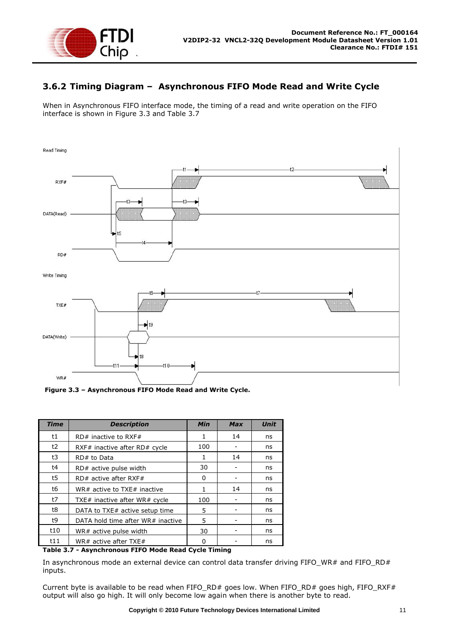

#### <span id="page-11-0"></span>**3.6.2 Timing Diagram – Asynchronous FIFO Mode Read and Write Cycle**

When in Asynchronous FIFO interface mode, the timing of a read and write operation on the FIFO interface is shown in [Figure 3.3](#page-11-1) and [Table 3.7](#page-11-2)



<span id="page-11-1"></span>**Figure 3.3 – Asynchronous FIFO Mode Read and Write Cycle.**

| <b>Time</b> | <b>Description</b>                | <b>Min</b> | <b>Max</b> | <b>Unit</b> |
|-------------|-----------------------------------|------------|------------|-------------|
| t1          | $RD#$ inactive to RXF#            | 1          | 14         | ns          |
| t2          | RXF# inactive after RD# cycle     | 100        |            | ns          |
| t3          | RD# to Data                       | 1          | 14         | ns          |
| t4          | RD# active pulse width            | 30         |            | ns          |
| t5          | $RD#$ active after RXF#           | 0          |            | ns          |
| t6          | WR# active to TXE# inactive       | 1          | 14         | ns          |
| t7          | TXE# inactive after WR# cycle     | 100        |            | ns          |
| t8          | DATA to TXE# active setup time    | 5          |            | ns          |
| t9          | DATA hold time after WR# inactive | 5          |            | ns          |
| t10         | WR# active pulse width            | 30         |            | ns          |
| t11         | WR# active after TXE#             | ŋ          |            | ns          |

<span id="page-11-2"></span>**Table 3.7 - Asynchronous FIFO Mode Read Cycle Timing**

In asynchronous mode an external device can control data transfer driving FIFO\_WR# and FIFO\_RD# inputs.

Current byte is available to be read when FIFO\_RD# goes low. When FIFO\_RD# goes high, FIFO\_RXF# output will also go high. It will only become low again when there is another byte to read.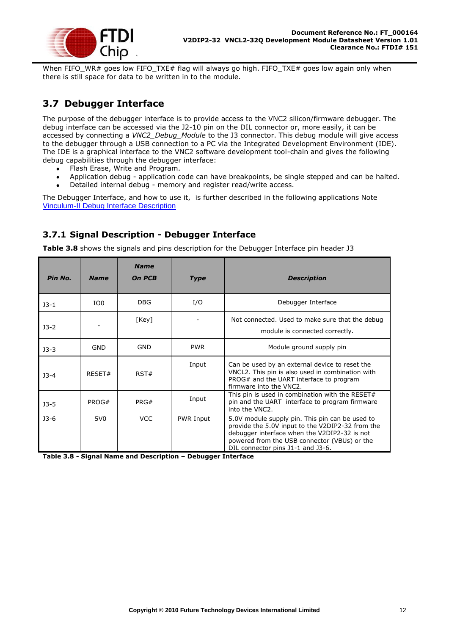

When FIFO\_WR# goes low FIFO\_TXE# flag will always go high. FIFO\_TXE# goes low again only when there is still space for data to be written in to the module.

## <span id="page-12-0"></span>**3.7 Debugger Interface**

The purpose of the debugger interface is to provide access to the VNC2 silicon/firmware debugger. The debug interface can be accessed via the J2-10 pin on the DIL connector or, more easily, it can be accessed by connecting a *VNC2\_Debug\_Module* to the J3 connector. This debug module will give access to the debugger through a USB connection to a PC via the Integrated Development Environment (IDE). The IDE is a graphical interface to the VNC2 software development tool-chain and gives the following debug capabilities through the debugger interface:

- Flash Erase, Write and Program.  $\bullet$
- Application debug application code can have breakpoints, be single stepped and can be halted.  $\bullet$
- Detailed internal debug memory and register read/write access.

The Debugger Interface, and how to use it, is further described in the following applications Note [Vinculum-II Debug Interface Description](http://www.ftdichip.com/Documents/AppNotes/AN_138_Vinculum-II_Debug_Interface_Description.pdf)

#### <span id="page-12-1"></span>**3.7.1 Signal Description - Debugger Interface**

**[Table 3.8](#page-12-2)** shows the signals and pins description for the Debugger Interface pin header J3

| Pin No. | <b>Name</b>     | <b>Name</b><br><b>On PCB</b> | <b>Type</b> | <b>Description</b>                                                                                                                                                                                                                       |
|---------|-----------------|------------------------------|-------------|------------------------------------------------------------------------------------------------------------------------------------------------------------------------------------------------------------------------------------------|
| $J3-1$  | IO <sub>0</sub> | <b>DBG</b>                   | I/O         | Debugger Interface                                                                                                                                                                                                                       |
| $J3-2$  |                 | [Key]                        |             | Not connected. Used to make sure that the debug<br>module is connected correctly.                                                                                                                                                        |
| $J3-3$  | <b>GND</b>      | GND                          | <b>PWR</b>  | Module ground supply pin                                                                                                                                                                                                                 |
| $J3-4$  | RESET#          | RST#                         | Input       | Can be used by an external device to reset the<br>VNCL2. This pin is also used in combination with<br>PROG# and the UART interface to program<br>firmware into the VNC2.                                                                 |
| $J3-5$  | PROG#           | PRG#                         | Input       | This pin is used in combination with the RESET#<br>pin and the UART interface to program firmware<br>into the VNC2.                                                                                                                      |
| $J3-6$  | 5V <sub>0</sub> | <b>VCC</b>                   | PWR Input   | 5.0V module supply pin. This pin can be used to<br>provide the 5.0V input to the V2DIP2-32 from the<br>debugger interface when the V2DIP2-32 is not<br>powered from the USB connector (VBUs) or the<br>DIL connector pins J1-1 and J3-6. |

<span id="page-12-2"></span>**Table 3.8 - Signal Name and Description – Debugger Interface**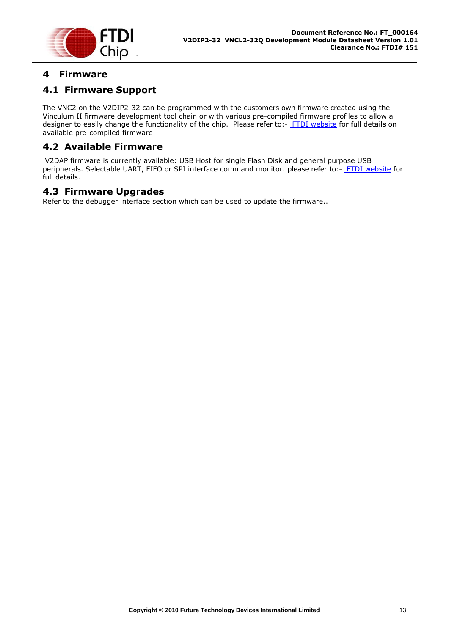

## <span id="page-13-0"></span>**4 Firmware**

#### <span id="page-13-1"></span>**4.1 Firmware Support**

The VNC2 on the V2DIP2-32 can be programmed with the customers own firmware created using the Vinculum II firmware development tool chain or with various pre-compiled firmware profiles to allow a designer to easily change the functionality of the chip. Please refer to:- [FTDI website](http://www.ftdichip.com/) for full details on available pre-compiled firmware

#### <span id="page-13-2"></span>**4.2 Available Firmware**

V2DAP firmware is currently available: USB Host for single Flash Disk and general purpose USB peripherals. Selectable UART, FIFO or SPI interface command monitor. please refer to:- [FTDI website](http://www.ftdichip.com/) for full details.

#### <span id="page-13-3"></span>**4.3 Firmware Upgrades**

Refer to the debugger interface section which can be used to update the firmware..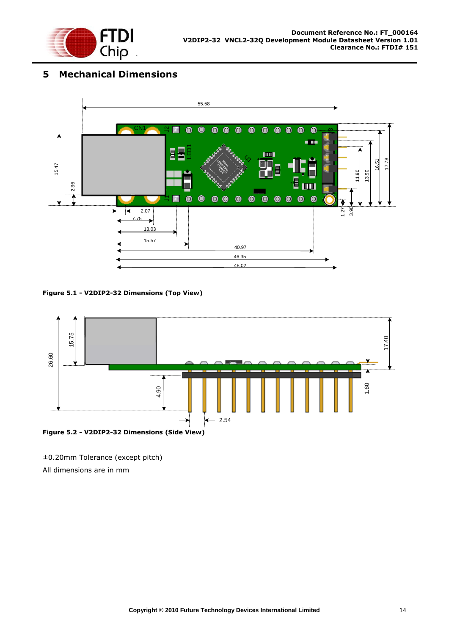

## <span id="page-14-0"></span>**5 Mechanical Dimensions**



<span id="page-14-1"></span>**Figure 5.1 - V2DIP2-32 Dimensions (Top View)**



<span id="page-14-2"></span>±0.20mm Tolerance (except pitch)

All dimensions are in mm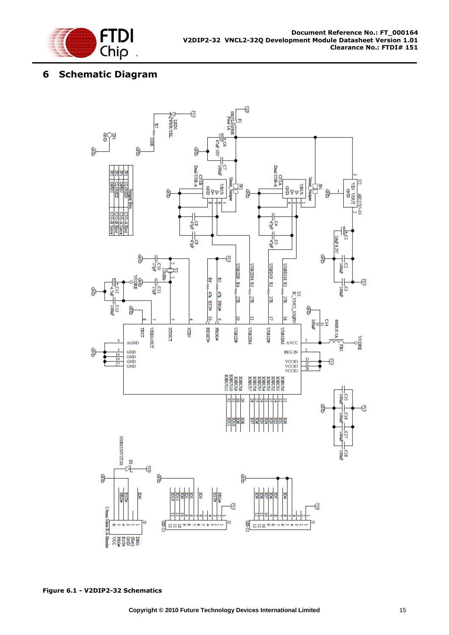

## <span id="page-15-0"></span>**6 Schematic Diagram**

<span id="page-15-1"></span>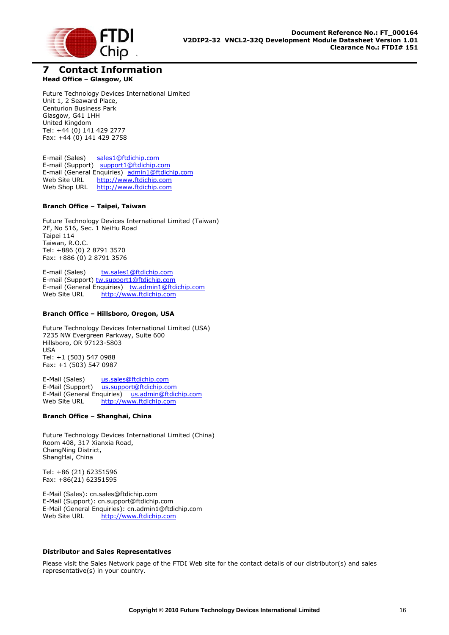

#### <span id="page-16-0"></span>**7 Contact Information Head Office – Glasgow, UK**

Future Technology Devices International Limited Unit 1, 2 Seaward Place, Centurion Business Park Glasgow, G41 1HH United Kingdom Tel: +44 (0) 141 429 2777 Fax: +44 (0) 141 429 2758

E-mail (Sales) [sales1@ftdichip.com](mailto:sales1@ftdichip.com) E-mail (Support) [support1@ftdichip.com](mailto:support1@ftdichip.com) E-mail (General Enquiries) [admin1@ftdichip.com](mailto:admin1@ftdichip.com)<br>Web Site URL http://www.ftdichip.com [http://www.ftdichip.com](http://www.ftdichip.com/) Web Shop URL [http://www.ftdichip.com](http://www.ftdichip.com/)

#### **Branch Office – Taipei, Taiwan**

Future Technology Devices International Limited (Taiwan) 2F, No 516, Sec. 1 NeiHu Road Taipei 114 Taiwan, R.O.C. Tel: +886 (0) 2 8791 3570 Fax: +886 (0) 2 8791 3576

E-mail (Sales) [tw.sales1@ftdichip.com](mailto:tw.sales1@ftdichip.com) E-mail (Support) [tw.support1@ftdichip.com](mailto:tw.support1@ftdichip.com) E-mail (General Enquiries) [tw.admin1@ftdichip.com](mailto:tw.admin1@ftdichip.com) Web Site URL [http://www.ftdichip.com](http://www.ftdichip.com/)

#### **Branch Office – Hillsboro, Oregon, USA**

Future Technology Devices International Limited (USA) 7235 NW Evergreen Parkway, Suite 600 Hillsboro, OR 97123-5803 USA Tel: +1 (503) 547 0988 Fax: +1 (503) 547 0987

E-Mail (Sales) [us.sales@ftdichip.com](mailto:us.sales@ftdichip.com) E-Mail (Support) [us.support@ftdichip.com](mailto:us.support@ftdichip.com) E-Mail (General Enquiries) [us.admin@ftdichip.com](mailto:us.admin@ftdichip.com) Web Site URL [http://www.ftdichip.com](http://www.ftdichip.com/)

#### **Branch Office – Shanghai, China**

Future Technology Devices International Limited (China) Room 408, 317 Xianxia Road, ChangNing District, ShangHai, China

Tel: +86 [\(21\) 6](LiveCall:(503)547-0988)2351596 Fax: +8[6\(21\) 6](LiveCall:(503)547-0987)2351595

E-Mail (Sales): [cn.sales@ftdichip.com](mailto:cn.sales@ftdichip.com) E-Mail (Support): c[n.support@ftdichip.](mailto:.support@ftdichip)com E-Mail (General Enquiries): cn[.admin1@ftdichip.com](mailto:admin1@ftdichip.com) Web Site URL [http://www.ftdichip.com](http://www.ftdichip.com/)

#### **Distributor and Sales Representatives**

Please visit the Sales Network page of the FTDI Web site for the contact details of our distributor(s) and sales representative(s) in your country.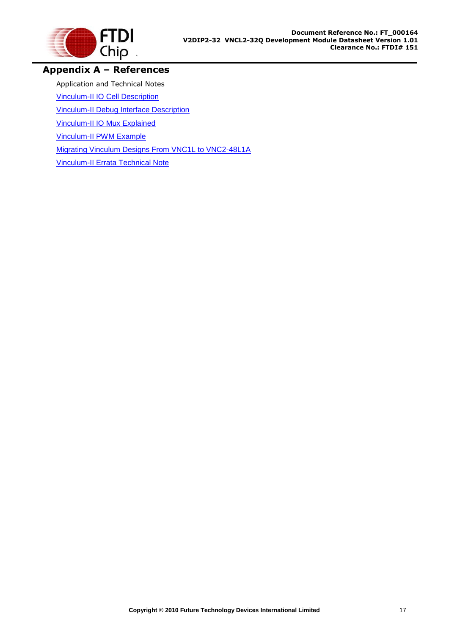

### <span id="page-17-0"></span>**Appendix A – References**

Application and Technical Notes

[Vinculum-II IO Cell Description](http://www.ftdichip.com/Documents/AppNotes/AN_137_Vinculum-II%20IO_Cell_Description.pdf)

[Vinculum-II Debug Interface Description](http://www.ftdichip.com/Documents/AppNotes/AN_138_Vinculum-II_Debug_Interface_Description.pdf)

[Vinculum-II IO Mux Explained](http://www.ftdichip.com/Documents/AppNotes/AN_139_Vinculum-II%20IO_Mux%20Explained.pdf)

[Vinculum-II PWM Example](http://www.ftdichip.com/Documents/AppNotes/AN_140_Vinculum-II_PWM_Example.pdf)

[Migrating Vinculum Designs From VNC1L to VNC2-48L1A](http://www.ftdichip.com/Documents/AppNotes/AN_118_Migrating_Vinculum_Designs_From_VNC1L_to_VNC2-48L1A.pdf)

[Vinculum-II Errata Technical Note](http://www.ftdichip.com/Documents/TechnicalNotes/TN_118_VNC2%20Errata%20Technical%20Note.pdf)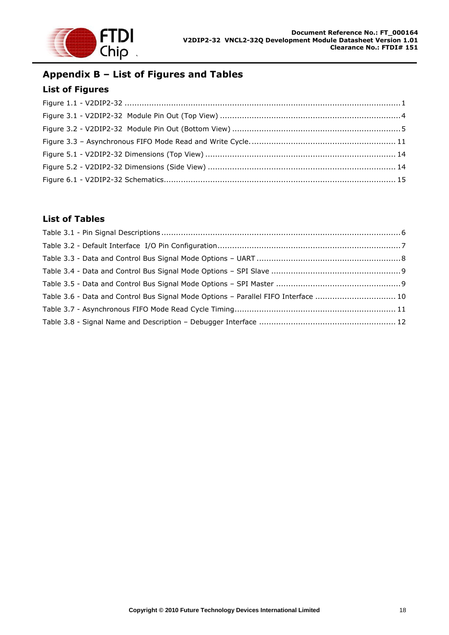

# <span id="page-18-0"></span>**Appendix B – List of Figures and Tables**

#### <span id="page-18-1"></span>**List of Figures**

#### <span id="page-18-2"></span>**List of Tables**

| Table 3.6 - Data and Control Bus Signal Mode Options - Parallel FIFO Interface  10 |  |
|------------------------------------------------------------------------------------|--|
|                                                                                    |  |
|                                                                                    |  |
|                                                                                    |  |